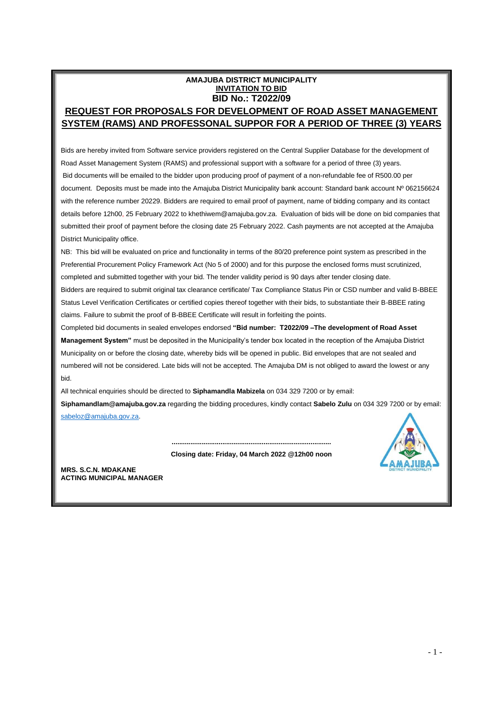## **AMAJUBA DISTRICT MUNICIPALITY INVITATION TO BID BID No.: T2022/09 REQUEST FOR PROPOSALS FOR DEVELOPMENT OF ROAD ASSET MANAGEMENT SYSTEM (RAMS) AND PROFESSONAL SUPPOR FOR A PERIOD OF THREE (3) YEARS**

Bids are hereby invited from Software service providers registered on the Central Supplier Database for the development of Road Asset Management System (RAMS) and professional support with a software for a period of three (3) years. Bid documents will be emailed to the bidder upon producing proof of payment of a non-refundable fee of R500.00 per document. Deposits must be made into the Amajuba District Municipality bank account: Standard bank account № 062156624 with the reference number 20229. Bidders are required to email proof of payment, name of bidding company and its contact details before 12h00, 25 February 2022 to khethiwem@amajuba.gov.za. Evaluation of bids will be done on bid companies that submitted their proof of payment before the closing date 25 February 2022. Cash payments are not accepted at the Amajuba District Municipality office.

NB: This bid will be evaluated on price and functionality in terms of the 80/20 preference point system as prescribed in the Preferential Procurement Policy Framework Act (No 5 of 2000) and for this purpose the enclosed forms must scrutinized, completed and submitted together with your bid. The tender validity period is 90 days after tender closing date. Bidders are required to submit original tax clearance certificate/ Tax Compliance Status Pin or CSD number and valid B-BBEE Status Level Verification Certificates or certified copies thereof together with their bids, to substantiate their B-BBEE rating claims. Failure to submit the proof of B-BBEE Certificate will result in forfeiting the points.

Completed bid documents in sealed envelopes endorsed **"Bid number: T2022/09 –The development of Road Asset Management System"** must be deposited in the Municipality's tender box located in the reception of the Amajuba District Municipality on or before the closing date, whereby bids will be opened in public. Bid envelopes that are not sealed and numbered will not be considered. Late bids will not be accepted. The Amajuba DM is not obliged to award the lowest or any bid.

All technical enquiries should be directed to **Siphamandla Mabizela** on 034 329 7200 or by email:

**Siphamandlam@amajuba.gov.za** regarding the bidding procedures, kindly contact **Sabelo Zulu** on 034 329 7200 or by email: [sabeloz@amajuba.gov.za.](mailto:sabeloz@amajuba.gov.za)



**Closing date: Friday, 04 March 2022 @12h00 noon**

**.....................................................................................**

**MRS. S.C.N. MDAKANE ACTING MUNICIPAL MANAGER**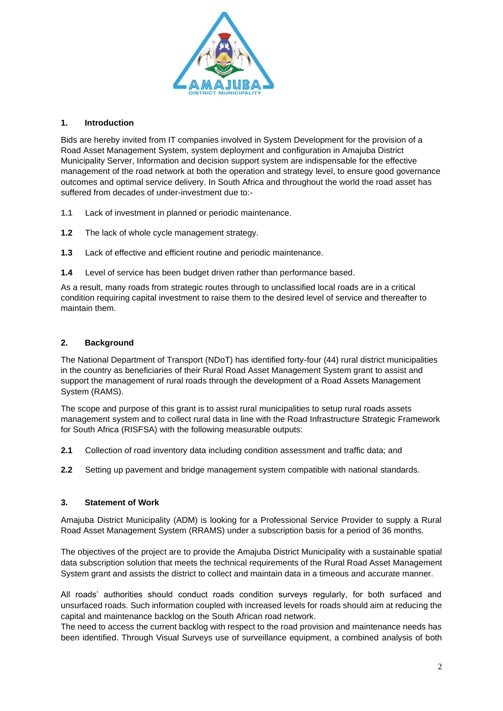

## **1. Introduction**

Bids are hereby invited from IT companies involved in System Development for the provision of a Road Asset Management System, system deployment and configuration in Amajuba District Municipality Server, Information and decision support system are indispensable for the effective management of the road network at both the operation and strategy level, to ensure good governance outcomes and optimal service delivery. In South Africa and throughout the world the road asset has suffered from decades of under-investment due to:-

- **1.1** Lack of investment in planned or periodic maintenance.
- **1.2** The lack of whole cycle management strategy.
- **1.3** Lack of effective and efficient routine and periodic maintenance.
- **1.4** Level of service has been budget driven rather than performance based.

As a result, many roads from strategic routes through to unclassified local roads are in a critical condition requiring capital investment to raise them to the desired level of service and thereafter to maintain them.

## **2. Background**

The National Department of Transport (NDoT) has identified forty-four (44) rural district municipalities in the country as beneficiaries of their Rural Road Asset Management System grant to assist and support the management of rural roads through the development of a Road Assets Management System (RAMS).

The scope and purpose of this grant is to assist rural municipalities to setup rural roads assets management system and to collect rural data in line with the Road Infrastructure Strategic Framework for South Africa (RISFSA) with the following measurable outputs:

- **2.1** Collection of road inventory data including condition assessment and traffic data; and
- **2.2** Setting up pavement and bridge management system compatible with national standards.

# **3. Statement of Work**

Amajuba District Municipality (ADM) is looking for a Professional Service Provider to supply a Rural Road Asset Management System (RRAMS) under a subscription basis for a period of 36 months.

The objectives of the project are to provide the Amajuba District Municipality with a sustainable spatial data subscription solution that meets the technical requirements of the Rural Road Asset Management System grant and assists the district to collect and maintain data in a timeous and accurate manner.

All roads' authorities should conduct roads condition surveys regularly, for both surfaced and unsurfaced roads. Such information coupled with increased levels for roads should aim at reducing the capital and maintenance backlog on the South African road network.

The need to access the current backlog with respect to the road provision and maintenance needs has been identified. Through Visual Surveys use of surveillance equipment, a combined analysis of both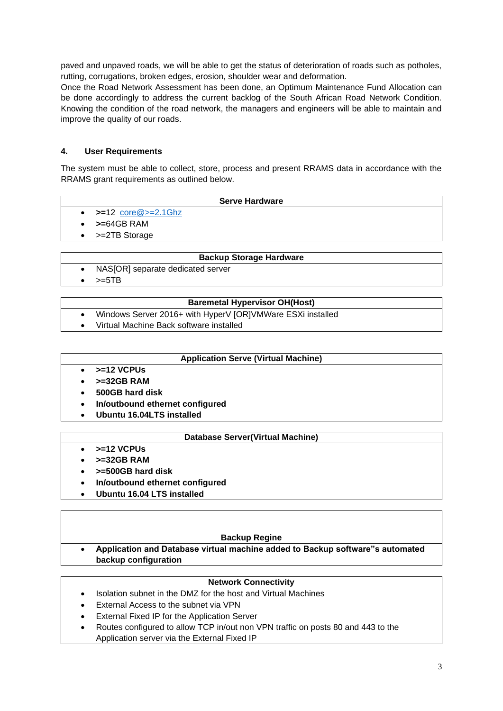paved and unpaved roads, we will be able to get the status of deterioration of roads such as potholes, rutting, corrugations, broken edges, erosion, shoulder wear and deformation.

Once the Road Network Assessment has been done, an Optimum Maintenance Fund Allocation can be done accordingly to address the current backlog of the South African Road Network Condition. Knowing the condition of the road network, the managers and engineers will be able to maintain and improve the quality of our roads.

## **4. User Requirements**

The system must be able to collect, store, process and present RRAMS data in accordance with the RRAMS grant requirements as outlined below.

### **Serve Hardware**

- **>=**12 [core@>=2.1Ghz](mailto:core@%3e=2.1Ghz)
- **>=**64GB RAM
- >=2TB Storage

#### **Backup Storage Hardware**

- NAS[OR] separate dedicated server
- $\bullet$   $> = 5TB$

### **Baremetal Hypervisor OH(Host)**

- Windows Server 2016+ with HyperV [OR]VMWare ESXi installed
- Virtual Machine Back software installed

## **Application Serve (Virtual Machine)**

- **>=12 VCPUs**
- **>=32GB RAM**
- **500GB hard disk**
- **In/outbound ethernet configured**
- **Ubuntu 16.04LTS installed**

#### **Database Server(Virtual Machine)**

- **>=12 VCPUs**
- **>=32GB RAM**
- **>=500GB hard disk**
- **In/outbound ethernet configured**
- **Ubuntu 16.04 LTS installed**

#### **Backup Regine**

• **Application and Database virtual machine added to Backup software"s automated backup configuration**

#### **Network Connectivity**

- Isolation subnet in the DMZ for the host and Virtual Machines
- External Access to the subnet via VPN
- External Fixed IP for the Application Server
- Routes configured to allow TCP in/out non VPN traffic on posts 80 and 443 to the Application server via the External Fixed IP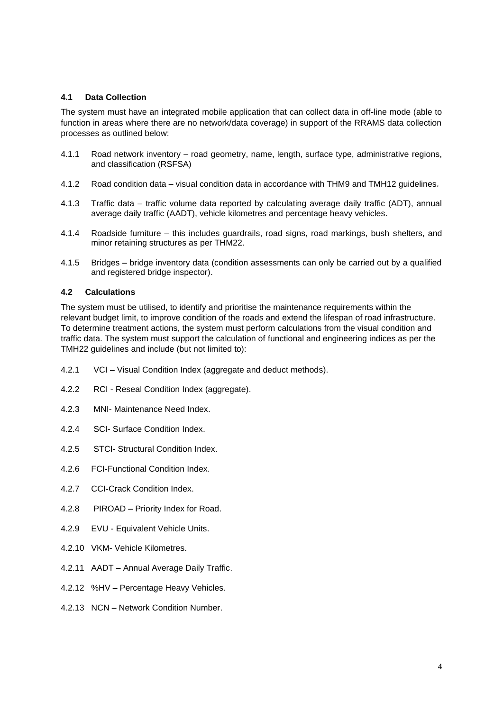### **4.1 Data Collection**

The system must have an integrated mobile application that can collect data in off-line mode (able to function in areas where there are no network/data coverage) in support of the RRAMS data collection processes as outlined below:

- 4.1.1 Road network inventory road geometry, name, length, surface type, administrative regions, and classification (RSFSA)
- 4.1.2 Road condition data visual condition data in accordance with THM9 and TMH12 guidelines*.*
- 4.1.3 Traffic data traffic volume data reported by calculating average daily traffic (ADT), annual average daily traffic (AADT), vehicle kilometres and percentage heavy vehicles.
- 4.1.4 Roadside furniture this includes guardrails, road signs, road markings, bush shelters, and minor retaining structures as per THM22.
- 4.1.5 Bridges bridge inventory data (condition assessments can only be carried out by a qualified and registered bridge inspector).

### **4.2 Calculations**

The system must be utilised, to identify and prioritise the maintenance requirements within the relevant budget limit, to improve condition of the roads and extend the lifespan of road infrastructure. To determine treatment actions, the system must perform calculations from the visual condition and traffic data. The system must support the calculation of functional and engineering indices as per the TMH22 guidelines and include (but not limited to):

- 4.2.1 VCI Visual Condition Index (aggregate and deduct methods).
- 4.2.2 RCI Reseal Condition Index (aggregate).
- 4.2.3 MNI- Maintenance Need Index.
- 4.2.4 SCI- Surface Condition Index.
- 4.2.5 STCI- Structural Condition Index.
- 4.2.6 FCI-Functional Condition Index.
- 4.2.7 CCI-Crack Condition Index.
- 4.2.8 PIROAD Priority Index for Road.
- 4.2.9 EVU Equivalent Vehicle Units.
- 4.2.10 VKM- Vehicle Kilometres.
- 4.2.11 AADT Annual Average Daily Traffic.
- 4.2.12 %HV Percentage Heavy Vehicles.
- 4.2.13 NCN Network Condition Number.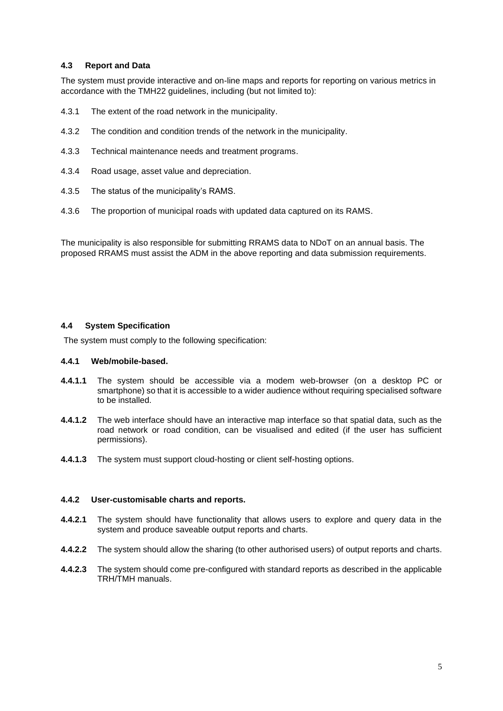## **4.3 Report and Data**

The system must provide interactive and on-line maps and reports for reporting on various metrics in accordance with the TMH22 guidelines, including (but not limited to):

- 4.3.1 The extent of the road network in the municipality.
- 4.3.2 The condition and condition trends of the network in the municipality.
- 4.3.3 Technical maintenance needs and treatment programs.
- 4.3.4 Road usage, asset value and depreciation.
- 4.3.5 The status of the municipality's RAMS.
- 4.3.6 The proportion of municipal roads with updated data captured on its RAMS.

The municipality is also responsible for submitting RRAMS data to NDoT on an annual basis. The proposed RRAMS must assist the ADM in the above reporting and data submission requirements.

### **4.4 System Specification**

The system must comply to the following specification:

#### **4.4.1 Web/mobile-based.**

- **4.4.1.1** The system should be accessible via a modem web-browser (on a desktop PC or smartphone) so that it is accessible to a wider audience without requiring specialised software to be installed.
- **4.4.1.2** The web interface should have an interactive map interface so that spatial data, such as the road network or road condition, can be visualised and edited (if the user has sufficient permissions).
- **4.4.1.3** The system must support cloud-hosting or client self-hosting options.

#### **4.4.2 User-customisable charts and reports.**

- **4.4.2.1** The system should have functionality that allows users to explore and query data in the system and produce saveable output reports and charts.
- **4.4.2.2** The system should allow the sharing (to other authorised users) of output reports and charts.
- **4.4.2.3** The system should come pre-configured with standard reports as described in the applicable TRH/TMH manuals.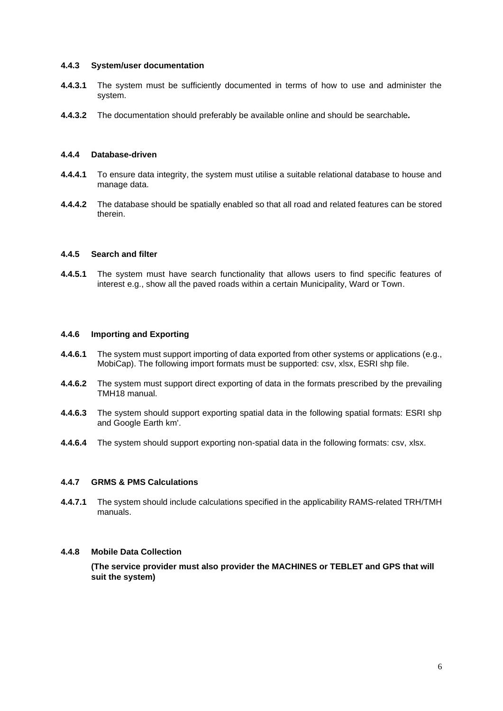### **4.4.3 System/user documentation**

- **4.4.3.1** The system must be sufficiently documented in terms of how to use and administer the system.
- **4.4.3.2** The documentation should preferably be available online and should be searchable*.*

### **4.4.4 Database-driven**

- **4.4.4.1** To ensure data integrity, the system must utilise a suitable relational database to house and manage data.
- **4.4.4.2** The database should be spatially enabled so that all road and related features can be stored therein.

### **4.4.5 Search and filter**

**4.4.5.1** The system must have search functionality that allows users to find specific features of interest e.g., show all the paved roads within a certain Municipality, Ward or Town.

### **4.4.6 Importing and Exporting**

- **4.4.6.1** The system must support importing of data exported from other systems or applications (e.g., MobiCap). The following import formats must be supported: csv, xlsx, ESRI shp file.
- **4.4.6.2** The system must support direct exporting of data in the formats prescribed by the prevailing TMH18 manual.
- **4.4.6.3** The system should support exporting spatial data in the following spatial formats: ESRI shp and Google Earth km'.
- **4.4.6.4** The system should support exporting non-spatial data in the following formats: csv, xlsx.

## **4.4.7 GRMS & PMS Calculations**

**4.4.7.1** The system should include calculations specified in the applicability RAMS-related TRH/TMH manuals.

### **4.4.8 Mobile Data Collection**

**(The service provider must also provider the MACHINES or TEBLET and GPS that will suit the system)**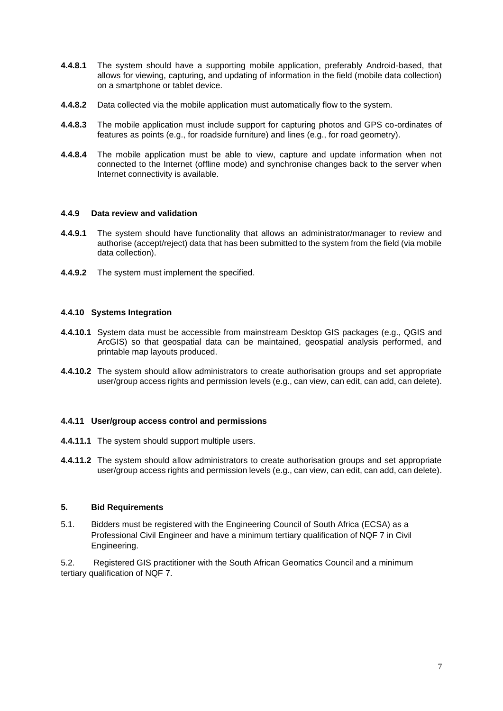- **4.4.8.1** The system should have a supporting mobile application, preferably Android-based, that allows for viewing, capturing, and updating of information in the field (mobile data collection) on a smartphone or tablet device.
- **4.4.8.2** Data collected via the mobile application must automatically flow to the system.
- **4.4.8.3** The mobile application must include support for capturing photos and GPS co-ordinates of features as points (e.g., for roadside furniture) and lines (e.g., for road geometry).
- **4.4.8.4** The mobile application must be able to view, capture and update information when not connected to the Internet (offline mode) and synchronise changes back to the server when Internet connectivity is available.

## **4.4.9 Data review and validation**

- **4.4.9.1** The system should have functionality that allows an administrator/manager to review and authorise (accept/reject) data that has been submitted to the system from the field (via mobile data collection).
- **4.4.9.2** The system must implement the specified.

### **4.4.10 Systems Integration**

- **4.4.10.1** System data must be accessible from mainstream Desktop GIS packages (e.g., QGIS and ArcGIS) so that geospatial data can be maintained, geospatial analysis performed, and printable map layouts produced.
- **4.4.10.2** The system should allow administrators to create authorisation groups and set appropriate user/group access rights and permission levels (e.g., can view, can edit, can add, can delete).

## **4.4.11 User/group access control and permissions**

- **4.4.11.1** The system should support multiple users.
- **4.4.11.2** The system should allow administrators to create authorisation groups and set appropriate user/group access rights and permission levels (e.g., can view, can edit, can add, can delete).

#### **5. Bid Requirements**

5.1. Bidders must be registered with the Engineering Council of South Africa (ECSA) as a Professional Civil Engineer and have a minimum tertiary qualification of NQF 7 in Civil Engineering.

5.2. Registered GIS practitioner with the South African Geomatics Council and a minimum tertiary qualification of NQF 7.